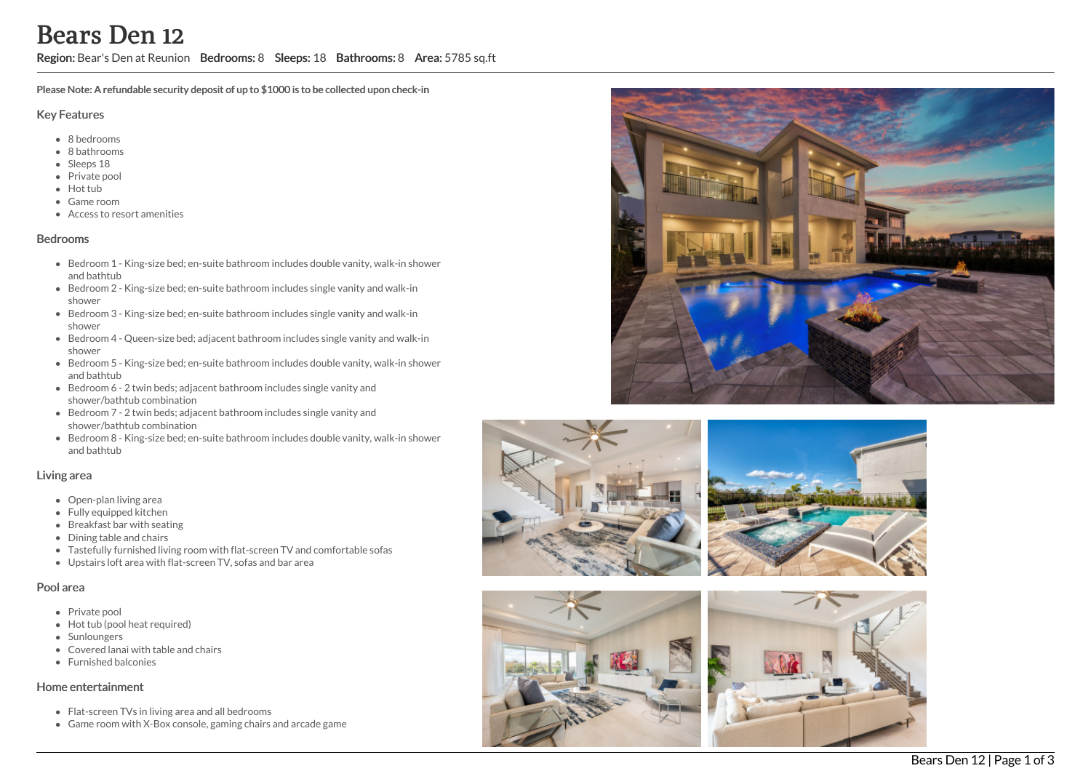## Region: Bear's Den at Reunion Bedrooms: 8 Sleeps: 18 Bathrooms: 8 Area: 5785 sq.ft

Please Note: A refundable security deposit of up to \$1000 is to be collected upon check-in

#### Key Features

- 8 b e d r o o m s
- 8 bathrooms
- Sleeps 18
- Private pool
- Hot tub
- Game room
- Access to resort amenities

#### **Bedrooms**

- Bedroom 1 King-size bed; en-suite bathroom includes double vanity, walk-in shower a n d b a t h t u b
- Bedroom 2 King-size bed; en-suite bathroom includes single vanity and walk-in s h o w e r
- Bedroom 3 King-size bed; en-suite bathroom includes single vanity and walk-in s h o w e r
- Bedroom 4 Queen-size bed; adjacent bathroom includes single vanity and walk-in s h o w e r
- Bedroom 5 King-size bed; en-suite bathroom includes double vanity, walk-in shower a n d b a t h t u b
- Bedroom 6 2 twin beds; adjacent bathroom includes single vanity and shower/bathtub combination
- Bedroom 7 2 twin beds; adjacent bathroom includes single vanity and shower/bathtub combination
- Bedroom 8 King-size bed; en-suite bathroom includes double vanity, walk-in shower a n d b a t h t u b

#### Living area

- Open-plan living area
- Fully equipped kitchen
- Breakfast bar with seating
- Dining table and chairs
- Tastefully furnished living room with flat-screen TV and comfortable sofas
- Upstairs loft area with flat-screen TV, sofas and bar area

#### Pool area

- Private pool
- Hot tub (pool heat required)
- **Sunloungers**
- Covered lanai with table and chairs
- F u r nis h e d b alc o nie s

#### Home entertainment

- Flat-screen TVs in living area and all bedrooms
- Game room with X-Box console, gaming chairs and arcade game









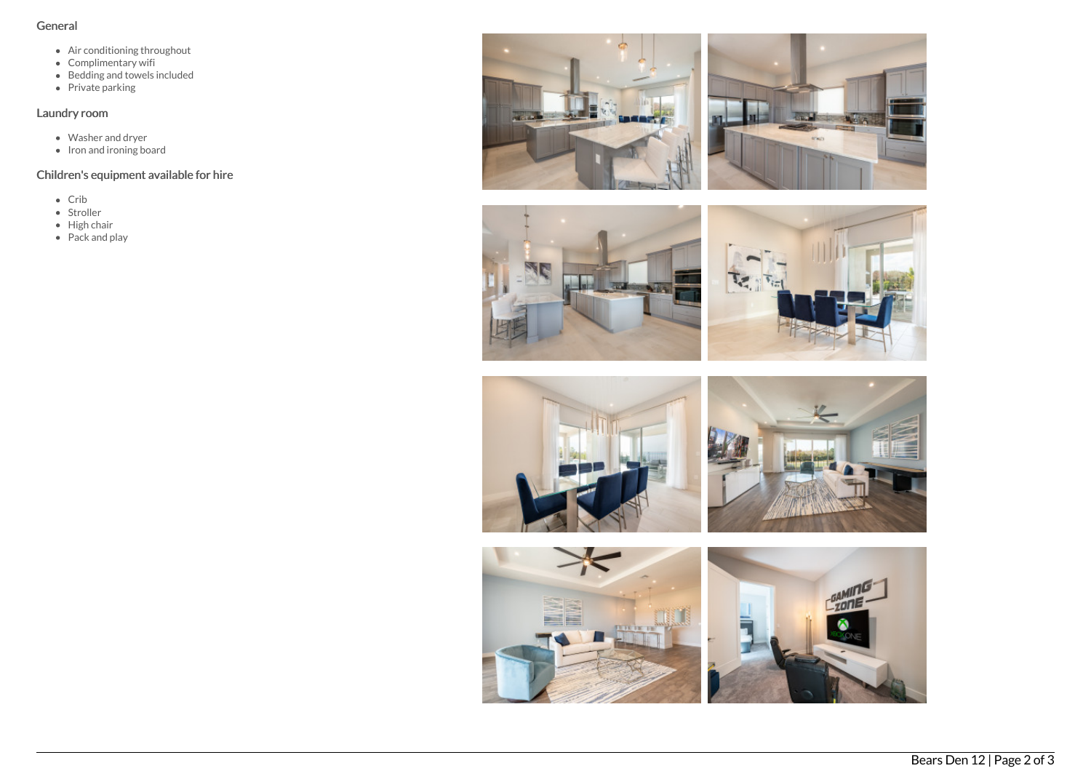### General

- Air conditioning throughout
- Complimentary wifi
- Bedding and towels included
- Private parking

## Laundry room

- Washer and dryer
- Iron and ironing board

# Children's equipment available for hire

- $\bullet$  Crib
- Stroller
- High chair
- Pack and play